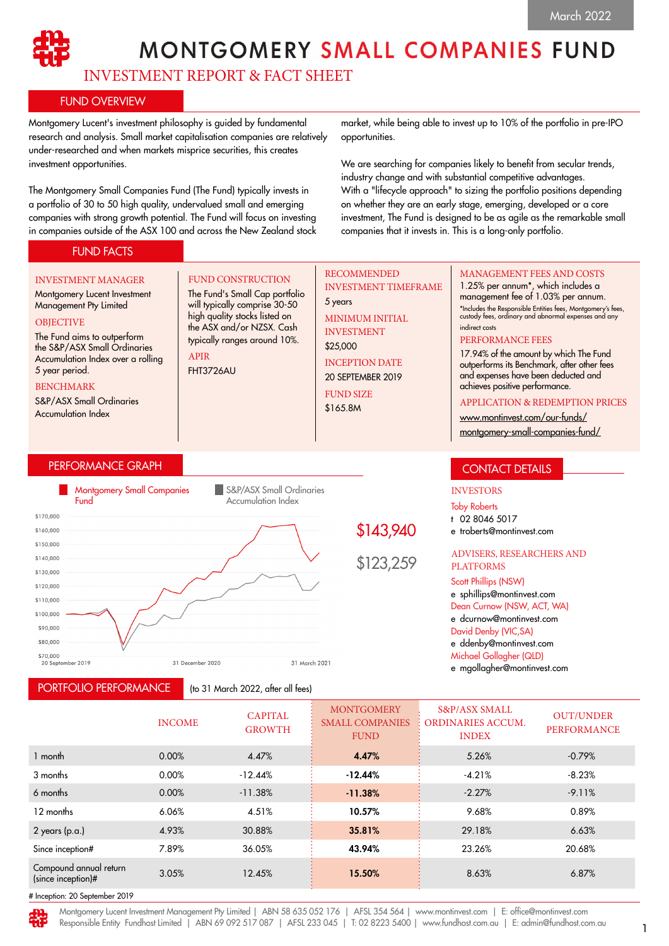

# **MONTGOMERY SMALL COMPANIES FUND**

INVESTMENT REPORT & FACT SHEET

FUND CONSTRUCTION The Fund's Small Cap portfolio will typically comprise 30-50 high quality stocks listed on the ASX and/or NZSX. Cash typically ranges around 10%.

## FUND OVERVIEW

Montgomery Lucent's investment philosophy is guided by fundamental research and analysis. Small market capitalisation companies are relatively under-researched and when markets misprice securities, this creates investment opportunities.

The Montgomery Small Companies Fund (The Fund) typically invests in a portfolio of 30 to 50 high quality, undervalued small and emerging companies with strong growth potential. The Fund will focus on investing in companies outside of the ASX 100 and across the New Zealand stock

market, while being able to invest up to 10% of the portfolio in pre-IPO opportunities.

We are searching for companies likely to benefit from secular trends, industry change and with substantial competitive advantages. With a "lifecycle approach" to sizing the portfolio positions depending on whether they are an early stage, emerging, developed or a core investment, The Fund is designed to be as agile as the remarkable small companies that it invests in. This is a long-only portfolio.

## FUND FACTS

#### INVESTMENT MANAGER

Montgomery Lucent Investment Management Pty Limited **OBJECTIVE** 

#### The Fund aims to outperform the S&P/ASX Small Ordinaries Accumulation Index over a rolling 5 year period.

BENCHMARK

S&P/ASX Small Ordinaries Accumulation Index

## PERFORMANCE GRAPH



APIR FHT3726AU

PORTFOLIO PERFORMANCE

(to 31 March 2022, after all fees)

## RECOMMENDED INVESTMENT TIMEFRAME

5 years MINIMUM INITIAL INVESTMENT

\$25,000 INCEPTION DATE 20 SEPTEMBER 2019

FUND SIZE

\$165.8M

### MANAGEMENT FEES AND COSTS

1.25% per annum\*, which includes a management fee of 1.03% per annum. \*Includes the Responsible Entities fees, Montgomery's fees, custody fees, ordinary and abnormal expenses and any indirect costs

#### PERFORMANCE FEES

17.94% of the amount by which The Fund outperforms its Benchmark, after other fees and expenses have been deducted and achieves positive performance.

#### APPLICATION & REDEMPTION PRICES

[www.montinvest.com/our-funds/](http://www.montinvest.com/our-funds/montgomery-small-companies-fund/)

[montgomery-small-companies-fund/](http://www.montinvest.com/our-funds/montgomery-small-companies-fund/)

# CONTACT DETAILS

#### INVESTORS

Toby Roberts

t 02 8046 5017

e troberts@montinvest.com

#### ADVISERS, RESEARCHERS AND PLATFORMS

#### Scott Phillips (NSW)

e sphillips@montinvest.com Dean Curnow (NSW, ACT, WA) e dcurnow@montinvest.com David Denby (VIC,SA) e ddenby@montinvest.com Michael Gollagher (QLD) e mgollagher@montinvest.com

INCOME CAPITAL GROWTH **MONTGOMERY** SMALL COMPANIES **FUND** S&P/ASX SMALL ORDINARIES ACCUM. INDEX OUT/UNDER PERFORMANCE 1 month 0.00% 4.47% **4.47%** 5.26% -0.79% 3 months 0.00% -12.44% -12.44% -4.21% -8.23% 6 months 0.00% -11.38% **-11.38%** -2.27% -9.11% 12 months 6.06% 4.51% 10.57% 9.68% 0.89% 2 years (p.a.) 4.93% 30.88% **35.81%** 29.18% 6.63% Since inception# 7.89% 36.05% 43.94% 23.26% 20.68% Compound annual return  $\frac{1}{12.45\%}$  3.05% 12.45% 15.50% 8.63% 6.87%

# Inception: 20 September 2019

Montgomery Lucent Investment Management Pty Limited | ABN 58 635 052 176 | AFSL 354 564 | www.montinvest.com | E: office@montinvest.com Responsible Entity Fundhost Limited | ABN 69 092 517 087 | AFSL 233 045 | T: 02 8223 5400 | www.fundhost.com.au | E: admin@fundhost.com.au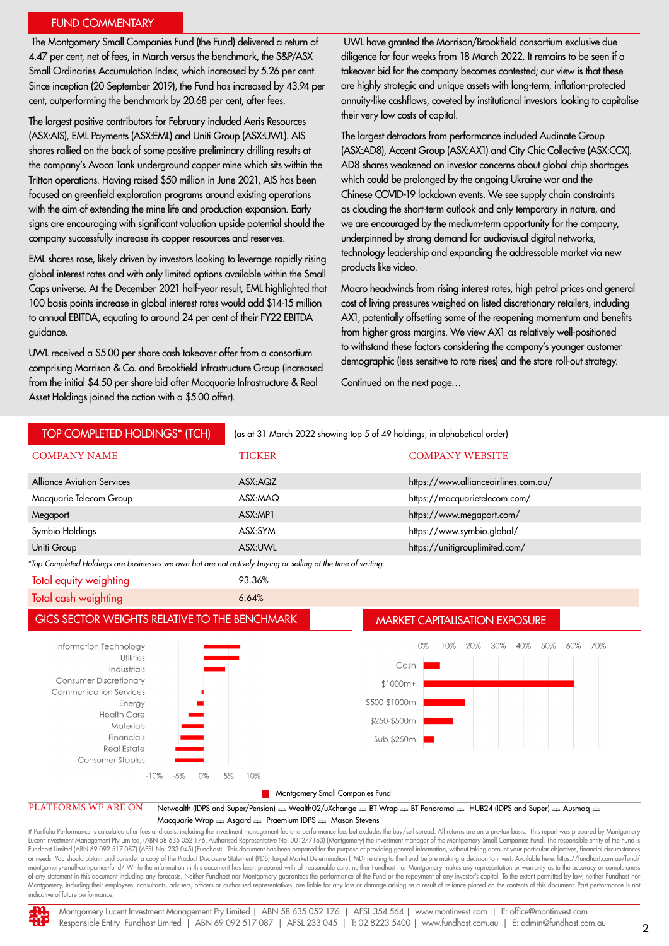#### FUND COMMENTARY

 The Montgomery Small Companies Fund (the Fund) delivered a return of 4.47 per cent, net of fees, in March versus the benchmark, the S&P/ASX Small Ordinaries Accumulation Index, which increased by 5.26 per cent. Since inception (20 September 2019), the Fund has increased by 43.94 per cent, outperforming the benchmark by 20.68 per cent, after fees.

The largest positive contributors for February included Aeris Resources (ASX:AIS), EML Payments (ASX:EML) and Uniti Group (ASX:UWL). AIS shares rallied on the back of some positive preliminary drilling results at the company's Avoca Tank underground copper mine which sits within the Tritton operations. Having raised \$50 million in June 2021, AIS has been focused on greenfield exploration programs around existing operations with the aim of extending the mine life and production expansion. Early signs are encouraging with significant valuation upside potential should the company successfully increase its copper resources and reserves.

EML shares rose, likely driven by investors looking to leverage rapidly rising global interest rates and with only limited options available within the Small Caps universe. At the December 2021 half-year result, EML highlighted that 100 basis points increase in global interest rates would add \$14-15 million to annual EBITDA, equating to around 24 per cent of their FY22 EBITDA guidance.

UWL received a \$5.00 per share cash takeover offer from a consortium comprising Morrison & Co. and Brookfield Infrastructure Group (increased from the initial \$4.50 per share bid after Macquarie Infrastructure & Real Asset Holdings joined the action with a \$5.00 offer).

 UWL have granted the Morrison/Brookfield consortium exclusive due diligence for four weeks from 18 March 2022. It remains to be seen if a takeover bid for the company becomes contested; our view is that these are highly strategic and unique assets with long-term, inflation-protected annuity-like cashflows, coveted by institutional investors looking to capitalise their very low costs of capital.

The largest detractors from performance included Audinate Group (ASX:AD8), Accent Group (ASX:AX1) and City Chic Collective (ASX:CCX). AD8 shares weakened on investor concerns about global chip shortages which could be prolonged by the ongoing Ukraine war and the Chinese COVID-19 lockdown events. We see supply chain constraints as clouding the short-term outlook and only temporary in nature, and we are encouraged by the medium-term opportunity for the company, underpinned by strong demand for audiovisual digital networks, technology leadership and expanding the addressable market via new products like video.

Macro headwinds from rising interest rates, high petrol prices and general cost of living pressures weighed on listed discretionary retailers, including AX1, potentially offsetting some of the reopening momentum and benefits from higher gross margins. We view AX1 as relatively well-positioned to withstand these factors considering the company's younger customer demographic (less sensitive to rate rises) and the store roll-out strategy.

Continued on the next page…



# Portfolio Performance is calculated after fees and costs, including the investment management fee and performance fee, but excludes the buy/sell spread. All returns are on a pre-tax basis. This report was prepared by Mon Lucent Investment Management Pty Limited, (ABN 58 635 052 176, Authorised Representative No. 001277163) (Montgomery) the investment manager of the Montgomery Small Companies Fund. The responsible entity of the Fund is<br>Fund or needs. You should obtain and consider a copy of the Product Disclosure Statement (PDS) Target Market Determination (TMD) relating to the Fund before making a decision to invest. Available here: https://fundhost.com.au/f montgomery-small-companies-fund/ While the information in this document has been prepared with all reasonable care, neither Fundhost nor Montgomery makes any representation or warranty as to the accuracy or completeness of any statement in this document including any forecasts. Neither Fundhost nor Montgomery guarantees the performance of the Fund or the repayment of any investor's capital. To the extent permitted by law, neither Fundhost Montgomery, including their employees, consultants, advisers, officers or authorised representatives, are liable for any loss or damage arising as a result of reliance placed on the contents of this document. Past performa indicative of future performance.